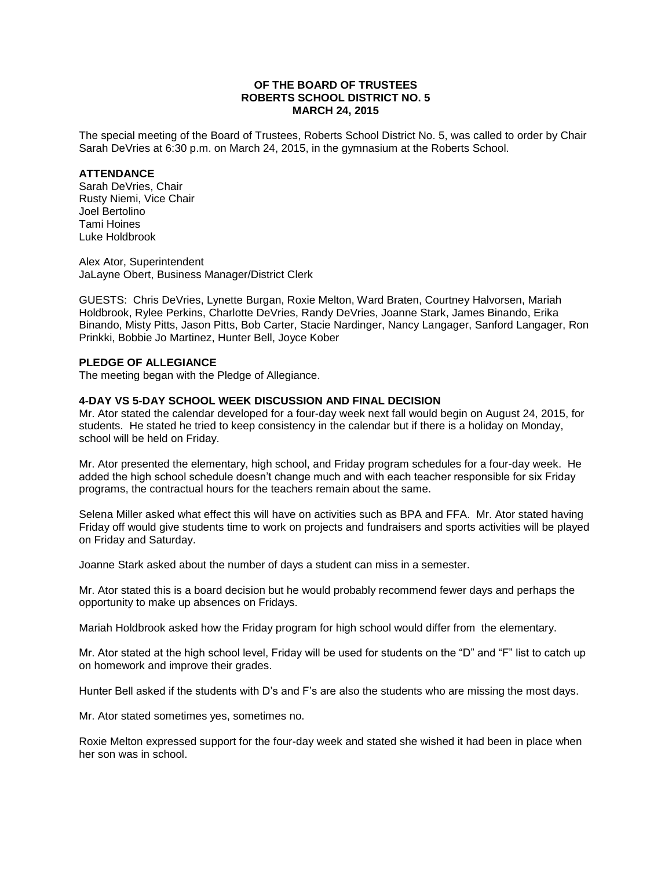## **OF THE BOARD OF TRUSTEES ROBERTS SCHOOL DISTRICT NO. 5 MARCH 24, 2015**

The special meeting of the Board of Trustees, Roberts School District No. 5, was called to order by Chair Sarah DeVries at 6:30 p.m. on March 24, 2015, in the gymnasium at the Roberts School.

## **ATTENDANCE**

Sarah DeVries, Chair Rusty Niemi, Vice Chair Joel Bertolino Tami Hoines Luke Holdbrook

Alex Ator, Superintendent JaLayne Obert, Business Manager/District Clerk

GUESTS: Chris DeVries, Lynette Burgan, Roxie Melton, Ward Braten, Courtney Halvorsen, Mariah Holdbrook, Rylee Perkins, Charlotte DeVries, Randy DeVries, Joanne Stark, James Binando, Erika Binando, Misty Pitts, Jason Pitts, Bob Carter, Stacie Nardinger, Nancy Langager, Sanford Langager, Ron Prinkki, Bobbie Jo Martinez, Hunter Bell, Joyce Kober

### **PLEDGE OF ALLEGIANCE**

The meeting began with the Pledge of Allegiance.

# **4-DAY VS 5-DAY SCHOOL WEEK DISCUSSION AND FINAL DECISION**

Mr. Ator stated the calendar developed for a four-day week next fall would begin on August 24, 2015, for students. He stated he tried to keep consistency in the calendar but if there is a holiday on Monday, school will be held on Friday.

Mr. Ator presented the elementary, high school, and Friday program schedules for a four-day week. He added the high school schedule doesn't change much and with each teacher responsible for six Friday programs, the contractual hours for the teachers remain about the same.

Selena Miller asked what effect this will have on activities such as BPA and FFA. Mr. Ator stated having Friday off would give students time to work on projects and fundraisers and sports activities will be played on Friday and Saturday.

Joanne Stark asked about the number of days a student can miss in a semester.

Mr. Ator stated this is a board decision but he would probably recommend fewer days and perhaps the opportunity to make up absences on Fridays.

Mariah Holdbrook asked how the Friday program for high school would differ from the elementary.

Mr. Ator stated at the high school level, Friday will be used for students on the "D" and "F" list to catch up on homework and improve their grades.

Hunter Bell asked if the students with D's and F's are also the students who are missing the most days.

Mr. Ator stated sometimes yes, sometimes no.

Roxie Melton expressed support for the four-day week and stated she wished it had been in place when her son was in school.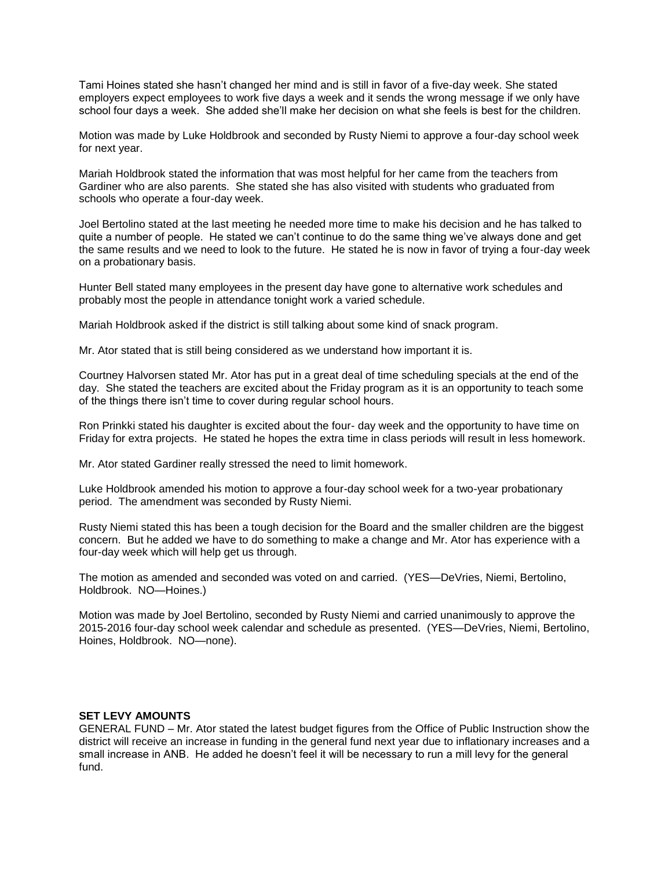Tami Hoines stated she hasn't changed her mind and is still in favor of a five-day week. She stated employers expect employees to work five days a week and it sends the wrong message if we only have school four days a week. She added she'll make her decision on what she feels is best for the children.

Motion was made by Luke Holdbrook and seconded by Rusty Niemi to approve a four-day school week for next year.

Mariah Holdbrook stated the information that was most helpful for her came from the teachers from Gardiner who are also parents. She stated she has also visited with students who graduated from schools who operate a four-day week.

Joel Bertolino stated at the last meeting he needed more time to make his decision and he has talked to quite a number of people. He stated we can't continue to do the same thing we've always done and get the same results and we need to look to the future. He stated he is now in favor of trying a four-day week on a probationary basis.

Hunter Bell stated many employees in the present day have gone to alternative work schedules and probably most the people in attendance tonight work a varied schedule.

Mariah Holdbrook asked if the district is still talking about some kind of snack program.

Mr. Ator stated that is still being considered as we understand how important it is.

Courtney Halvorsen stated Mr. Ator has put in a great deal of time scheduling specials at the end of the day. She stated the teachers are excited about the Friday program as it is an opportunity to teach some of the things there isn't time to cover during regular school hours.

Ron Prinkki stated his daughter is excited about the four- day week and the opportunity to have time on Friday for extra projects. He stated he hopes the extra time in class periods will result in less homework.

Mr. Ator stated Gardiner really stressed the need to limit homework.

Luke Holdbrook amended his motion to approve a four-day school week for a two-year probationary period. The amendment was seconded by Rusty Niemi.

Rusty Niemi stated this has been a tough decision for the Board and the smaller children are the biggest concern. But he added we have to do something to make a change and Mr. Ator has experience with a four-day week which will help get us through.

The motion as amended and seconded was voted on and carried. (YES—DeVries, Niemi, Bertolino, Holdbrook. NO—Hoines.)

Motion was made by Joel Bertolino, seconded by Rusty Niemi and carried unanimously to approve the 2015-2016 four-day school week calendar and schedule as presented. (YES—DeVries, Niemi, Bertolino, Hoines, Holdbrook. NO—none).

#### **SET LEVY AMOUNTS**

GENERAL FUND – Mr. Ator stated the latest budget figures from the Office of Public Instruction show the district will receive an increase in funding in the general fund next year due to inflationary increases and a small increase in ANB. He added he doesn't feel it will be necessary to run a mill levy for the general fund.